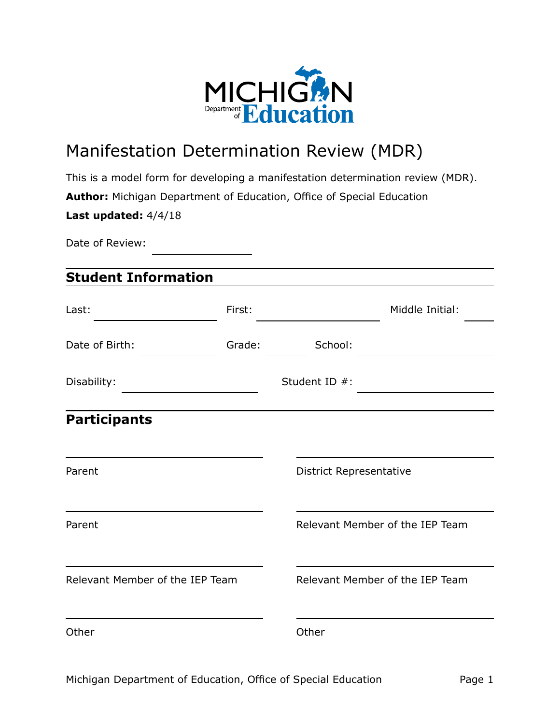

# Manifestation Determination Review (MDR)

This is a model form for developing a manifestation determination review (MDR). **Author:** Michigan Department of Education, Office of Special Education **Last updated:** 4/4/18

Date of Review:

## **Student Information**

| Last:                           | First: |                                 | Middle Initial:                 |
|---------------------------------|--------|---------------------------------|---------------------------------|
| Date of Birth:                  | Grade: | School:                         |                                 |
| Disability:                     |        | Student ID #:                   |                                 |
| <b>Participants</b>             |        |                                 |                                 |
| Parent                          |        | <b>District Representative</b>  |                                 |
| Parent                          |        |                                 | Relevant Member of the IEP Team |
| Relevant Member of the IEP Team |        | Relevant Member of the IEP Team |                                 |
| Other                           |        | Other                           |                                 |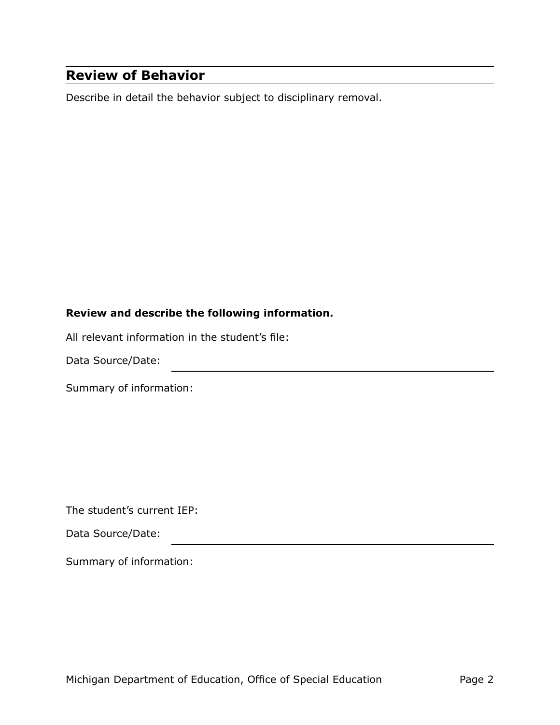## **Review of Behavior**

Describe in detail the behavior subject to disciplinary removal.

#### **Review and describe the following information.**

All relevant information in the student's file:

Data Source/Date:

Summary of information:

The student's current IEP:

Data Source/Date:

Summary of information: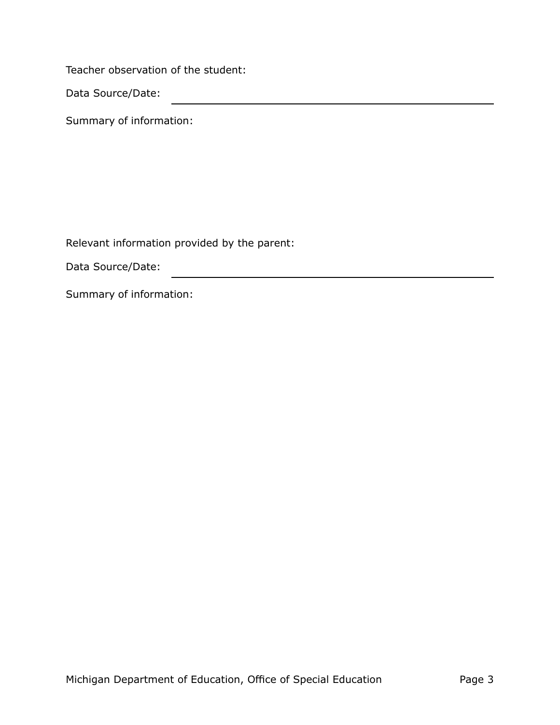Teacher observation of the student:

Data Source/Date:

Summary of information:

Relevant information provided by the parent:

<u> 1989 - Johann Stoff, fransk politiker (d. 1989)</u>

Data Source/Date:

Summary of information: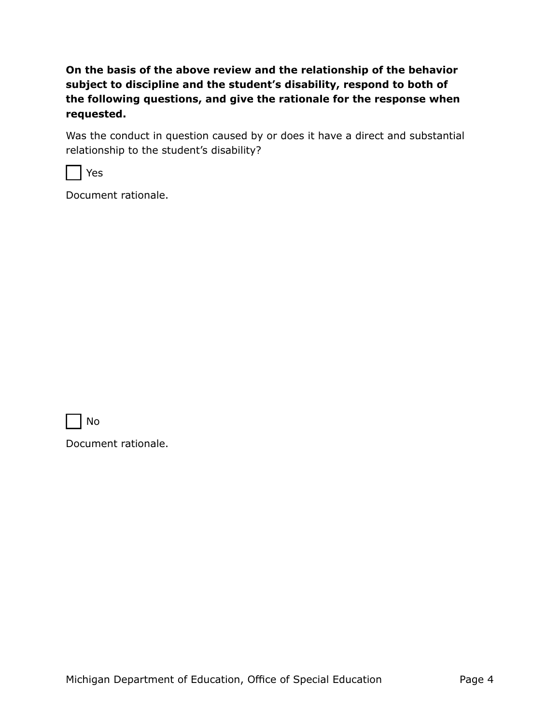**On the basis of the above review and the relationship of the behavior subject to discipline and the student's disability, respond to both of the following questions, and give the rationale for the response when requested.**

Was the conduct in question caused by or does it have a direct and substantial relationship to the student's disability?

Yes

Document rationale.

No

Document rationale.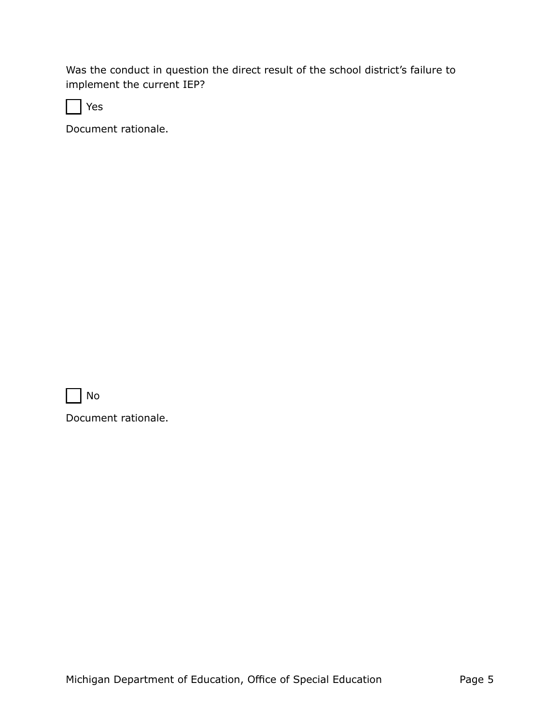Was the conduct in question the direct result of the school district's failure to implement the current IEP?

Yes

Document rationale.

No

Document rationale.